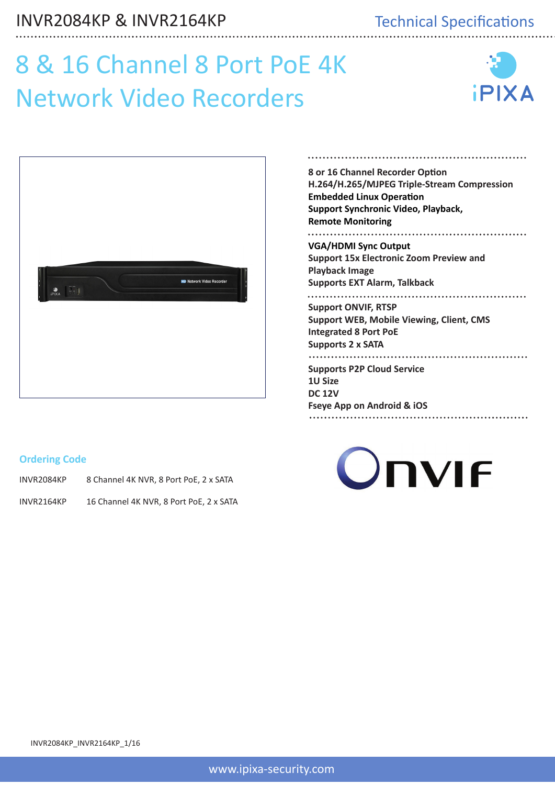## Technical Specifications Technical Specifications

# 8 & 16 Channel 8 Port PoE 4K Network Video Recorders





#### **Ordering Code**

INVR2084KP 8 Channel 4K NVR, 8 Port PoE, 2 x SATA

INVR2164KP 16 Channel 4K NVR, 8 Port PoE, 2 x SATA

#### **8 or 16 Channel Recorder Option H.264/H.265/MJPEG Triple-Stream Compression Embedded Linux Operation Support Synchronic Video, Playback, Remote Monitoring VGA/HDMI Sync Output Support 15x Electronic Zoom Preview and Playback Image Supports EXT Alarm, Talkback Support ONVIF, RTSP Support WEB, Mobile Viewing, Client, CMS Integrated 8 Port PoE Supports 2 x SATA Supports P2P Cloud Service 1U Size DC 12V**

**Fseye App on Android & iOS**